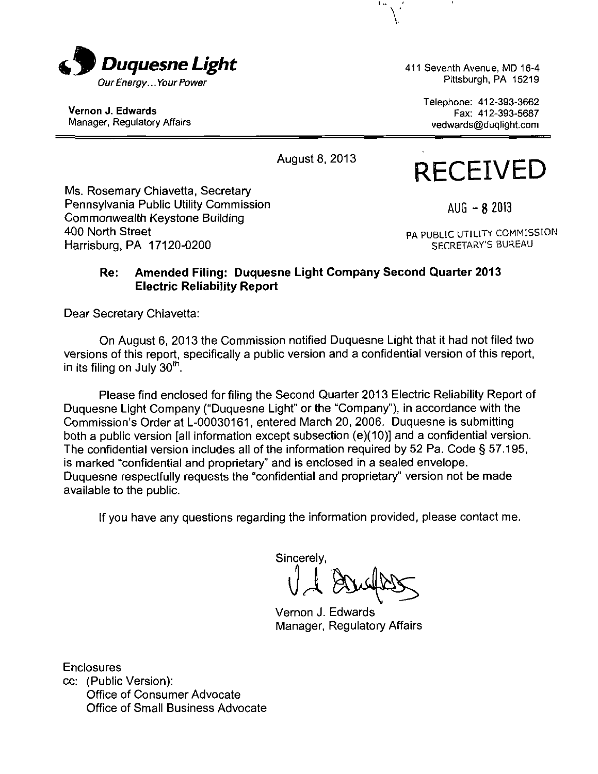

Vernon J. Edwards Manager, Regulatory Affairs 411 Seventh Avenue, MD 16-4 Pittsburgh, PA 15219

> Telephone: 412-393-3662 Fax: 412-393-5687 vedwards@duqlight.com

August 8, 2013

# **RECEIVED**

Ms. Rosemary Chiavetta, Secretary Pennsylvania Public Utility Commission Commonwealth Keystone Building 400 North Street Harrisburg, PA 17120-0200

 $AUG - 82013$ 

PA PUBLIC UTILITY COMMISSION SECRETARY'S BUREAU

## Re: Amended Filing: Duquesne Light Company Second Quarter 2013 Electric Reliability Report

Dear Secretary Chiavetta:

On August 6, 2013 the Commission notified Duquesne Light that it had not filed two versions of this report, specifically a public version and a confidential version of this report, in its filing on July 30 $^{\sf m}.$ 

Please find enclosed for filing the Second Quarter 2013 Electric Reliability Report of Duquesne Light Company ("Duquesne Light" or the "Company"), in accordance with the Commission's Order at L-00030161, entered March 20, 2006. Duquesne is submitting both a public version [all information except subsection (e)(10)] and a confidential version. The confidential version includes all of the information required by 52 Pa. Code  $\S 57.195$ , is marked "confidential and proprietary" and is enclosed in a sealed envelope. Duquesne respectfully requests the "confidential and proprietary" version not be made available to the public.

If you have any questions regarding the information provided, please contact me.

Sincerely,

Vernon J. Edwards Manager, Regulatory Affairs

**Enclosures** cc: (Public Version): Office of Consumer Advocate Office of Small Business Advocate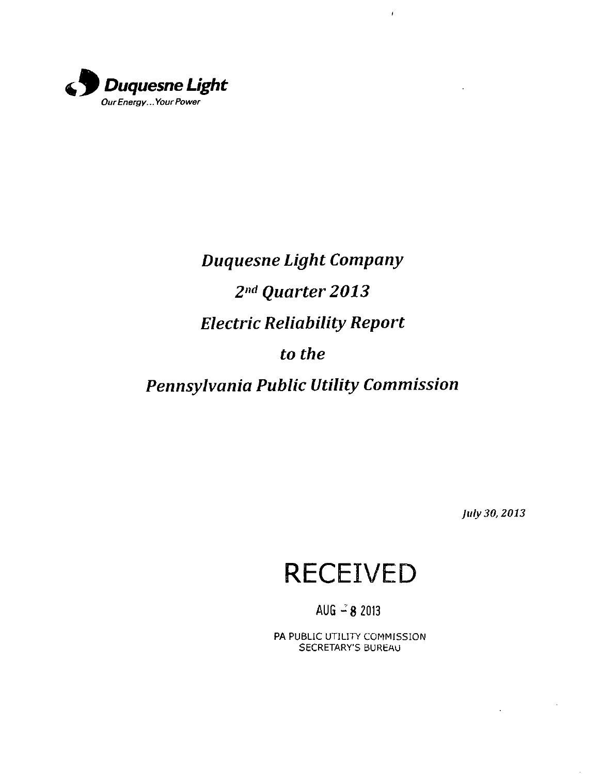

## *Duquesne Light Company 2 nd Quarter 2013 Electric Reliability Report to the Pennsylvania PubUc Utility Commission*

 $\boldsymbol{I}$ 

*July 30,2013* 

J.

 $\bar{z}$ 

## **RECEIVED**

AUG  $-8$  2013

PA PUBLIC UTILITY COMMISSION SECRETARY'S BUREAU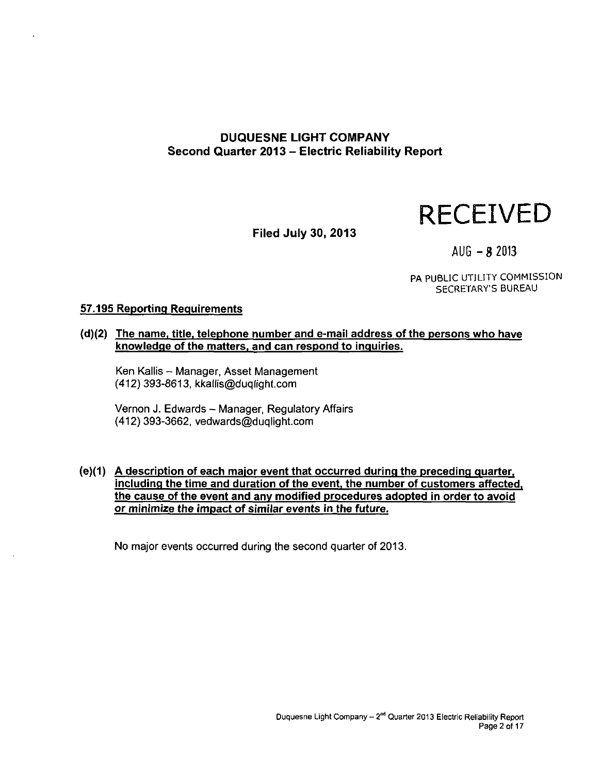## **DUQUESNE LIGHT COMPANY Second Quarter 2013 - Electric Reliability Report**



**Filed July 30, 2013** 

 $AUG - B 2013$ 

PA PUBLIC UTILITY COMMISSION SECRETARY'S BUREAU

#### **57.195 Reporting Requirements**

**(d)(2) The name, title, telephone number and e-mail address ofthe persons who have knowledge ofthe matters, and can respond to inquiries.** 

Ken Kallis - Manager, Asset Management (412} 393-8613, kkallis@duqlight.com

Vernon J. Edwards - Manager, Regulatory Affairs (412) 393-3662, vedwards@duqlight.com

**(e)(1) A description of each major event that occurred during the preceding quarter, including the time and duration of the event, the number of customers affected, the cause of the event and anv modified procedures adopted in order to avoid or minimize the impact of similar events in the future.** 

No major events occurred during the second quarter of 2013.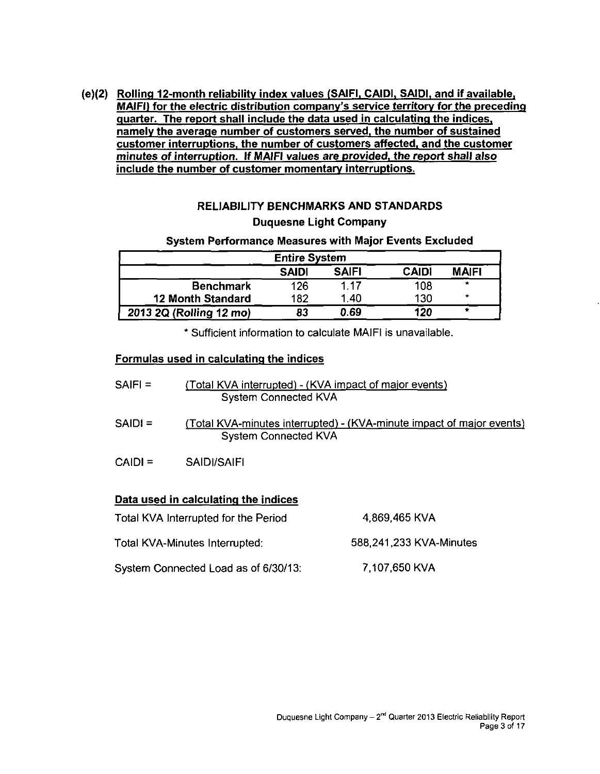**(e)(2) Rolling 12-month reliability index values (SAIFI, CAIDI. SAIDI. and if available, MAIFI) for the electric distribution company's service territorv for the preceding quarter. The report shall include the data used in calculating the indices, namely the average number of customers served, the number of sustained customer interruptions, the number of customers affected, and the customer minutes of interruption. If MAIFI values are provided, the report shall also include the number of customer momentary interruptions.** 

## **RELIABILITY BENCHMARKS AND STANDARDS Duquesne Light Company**

#### **System Performance Measures with Major Events Excluded**

| <b>Entire System</b>     |              |              |              |              |  |  |  |  |  |
|--------------------------|--------------|--------------|--------------|--------------|--|--|--|--|--|
|                          | <b>SAIDI</b> | <b>SAIFI</b> | <b>CAIDI</b> | <b>MAIFI</b> |  |  |  |  |  |
| <b>Benchmark</b>         | 126          | 1.17         | 108          |              |  |  |  |  |  |
| <b>12 Month Standard</b> | 182          | 1.40         | 130          | *            |  |  |  |  |  |
| 2013 2Q (Rolling 12 mo)  | 83           | 0.69         | 120          | ۰            |  |  |  |  |  |

**\* Sufficient information to calculate MAIFI is unavailable.** 

## **Formulas used in calculating the indices**

- SAIFI = (Total KVA interrupted) (KVA impact of major events) System Connected KVA
- SAIDI = (Total KVA-minutes interrupted) (KVA-minute impact of major events) System Connected KVA
- CAIDI = SAIDI/SAIFI

## **Data used in calculating the indices**

- Total KVA Interrupted for the Period 4,869,465 KVA
- Total KVA-Minutes Interrupted: 588,241,233 KVA-Minutes
	-
- System Connected Load as of 6/30/13: 7,107,650 KVA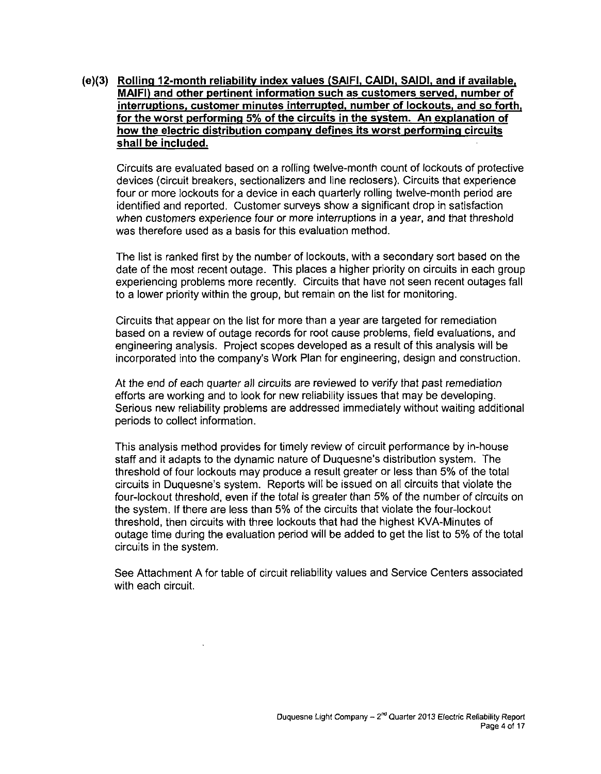**(e){3) Rolling 12-month reliability index values (SAIFI, CAIDI, SAIDI, and if available. MAIFI) and other pertinent information such as customers served, number of interruptions, customer minutes interrupted, number of lockouts, and so forth, for the worst performing 5% of the circuits in the system. An explanation of how the electric distribution company defines its worst performing circuits shall be included.** 

Circuits are evaluated based on a rolling twelve-month count of lockouts of protective devices (circuit breakers, sectionalizers and line reclosers). Circuits that experience four or more lockouts for a device in each quarterly rolling twelve-month period are identified and reported. Customer surveys show a significant drop in satisfaction when customers experience four or more interruptions in a year, and that threshold was therefore used as a basis for this evaluation method.

The list is ranked first by the number of lockouts, with a secondary sort based on the date of the most recent outage. This places a higher priority on circuits in each group experiencing problems more recently. Circuits that have not seen recent outages fall to a lower priority within the group, but remain on the list for monitoring.

Circuits that appear on the list for more than a year are targeted for remediation based on a review of outage records for root cause problems, field evafuations, and engineering analysis. Project scopes developed as a result of this analysis will be incorporated into the company's Work Plan for engineering, design and construction.

At the end of each quarter all circuits are reviewed to verify that past remediation efforts are working and to look for new reliability issues that may be developing. Serious new reliability problems are addressed immediately without waiting additional periods to collect information.

This analysis method provides for timely review of circuit performance by in-house staff and it adapts to the dynamic nature of Duquesne's distribution system. The threshold of four lockouts may produce a result greater or less than 5% of the total circuits in Duquesne's system. Reports will be issued on all circuits that violate the four-lockout threshold, even if the total is greater than 5% of the number of circuits on the system. If there are less than 5% of the circuits that violate the four-lockout threshold, then circuits with three lockouts that had the highest KVA-Minutes of outage time during the evaluation period will be added to get the list to 5% of the total circuits in the system.

See Attachment A for table of circuit reliability values and Service Centers associated with each circuit.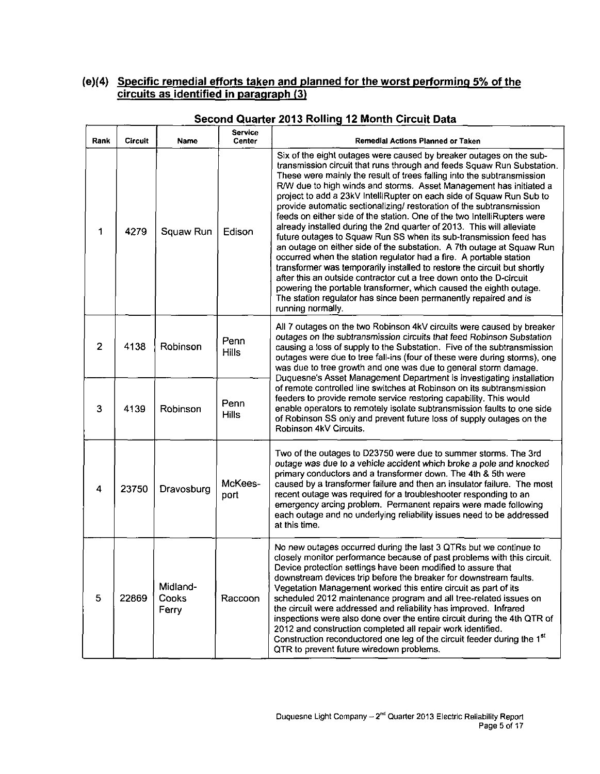## **(e)(4) Specific remedial efforts taken and planned for the worst performing 5% of the circuits as identified in paragraph (3)**

| Rank                    | <b>Circuit</b> | Name                       | <b>Service</b><br>Center | Remedial Actions Planned or Taken                                                                                                                                                                                                                                                                                                                                                                                                                                                                                                                                                                                                                                                                                                                                                                                                                                                                                                                                                                                                                                                                                                       |  |  |  |  |
|-------------------------|----------------|----------------------------|--------------------------|-----------------------------------------------------------------------------------------------------------------------------------------------------------------------------------------------------------------------------------------------------------------------------------------------------------------------------------------------------------------------------------------------------------------------------------------------------------------------------------------------------------------------------------------------------------------------------------------------------------------------------------------------------------------------------------------------------------------------------------------------------------------------------------------------------------------------------------------------------------------------------------------------------------------------------------------------------------------------------------------------------------------------------------------------------------------------------------------------------------------------------------------|--|--|--|--|
| 1                       | 4279           | Squaw Run                  | Edison                   | Six of the eight outages were caused by breaker outages on the sub-<br>transmission circuit that runs through and feeds Squaw Run Substation.<br>These were mainly the result of trees falling into the subtransmission<br>R/W due to high winds and storms. Asset Management has initiated a<br>project to add a 23kV IntelliRupter on each side of Squaw Run Sub to<br>provide automatic sectionalizing/ restoration of the subtransmission<br>feeds on either side of the station. One of the two IntelliRupters were<br>already installed during the 2nd quarter of 2013. This will alleviate<br>future outages to Squaw Run SS when its sub-transmission feed has<br>an outage on either side of the substation. A 7th outage at Squaw Run<br>occurred when the station regulator had a fire. A portable station<br>transformer was temporarily installed to restore the circuit but shortly<br>after this an outside contractor cut a tree down onto the D-circuit<br>powering the portable transformer, which caused the eighth outage.<br>The station regulator has since been permanently repaired and is<br>running normally. |  |  |  |  |
| $\overline{2}$          | 4138           | Robinson                   | Penn<br><b>Hills</b>     | All 7 outages on the two Robinson 4kV circuits were caused by breaker<br>outages on the subtransmission circuits that feed Robinson Substation<br>causing a loss of supply to the Substation. Five of the subtransmission<br>outages were due to tree fall-ins (four of these were during storms), one<br>was due to tree growth and one was due to general storm damage.<br>Duquesne's Asset Management Department is investigating installation                                                                                                                                                                                                                                                                                                                                                                                                                                                                                                                                                                                                                                                                                       |  |  |  |  |
| 3                       | 4139           | Robinson                   | Penn<br><b>Hills</b>     | of remote controlled line switches at Robinson on its subtransmission<br>feeders to provide remote service restoring capability. This would<br>enable operators to remotely isolate subtransmission faults to one side<br>of Robinson SS only and prevent future loss of supply outages on the<br>Robinson 4kV Circuits.                                                                                                                                                                                                                                                                                                                                                                                                                                                                                                                                                                                                                                                                                                                                                                                                                |  |  |  |  |
| $\overline{\mathbf{4}}$ | 23750          | Dravosburg                 | McKees-<br>port          | Two of the outages to D23750 were due to summer storms. The 3rd<br>outage was due to a vehicle accident which broke a pole and knocked<br>primary conductors and a transformer down. The 4th & 5th were<br>caused by a transformer failure and then an insulator failure. The most<br>recent outage was required for a troubleshooter responding to an<br>emergency arcing problem. Permanent repairs were made following<br>each outage and no underlying reliability issues need to be addressed<br>at this time.                                                                                                                                                                                                                                                                                                                                                                                                                                                                                                                                                                                                                     |  |  |  |  |
| 5                       | 22869          | Midland-<br>Cooks<br>Ferry | Raccoon                  | No new outages occurred during the last 3 QTRs but we continue to<br>closely monitor performance because of past problems with this circuit.<br>Device protection settings have been modified to assure that<br>downstream devices trip before the breaker for downstream faults.<br>Vegetation Management worked this entire circuit as part of its<br>scheduled 2012 maintenance program and all tree-related issues on<br>the circuit were addressed and reliability has improved. Infrared<br>inspections were also done over the entire circuit during the 4th QTR of<br>2012 and construction completed all repair work identified.<br>Construction reconductored one leg of the circuit feeder during the 1st<br>QTR to prevent future wiredown problems.                                                                                                                                                                                                                                                                                                                                                                        |  |  |  |  |

## **Second Quarter 2013 Rolling 12 Month Circuit Data**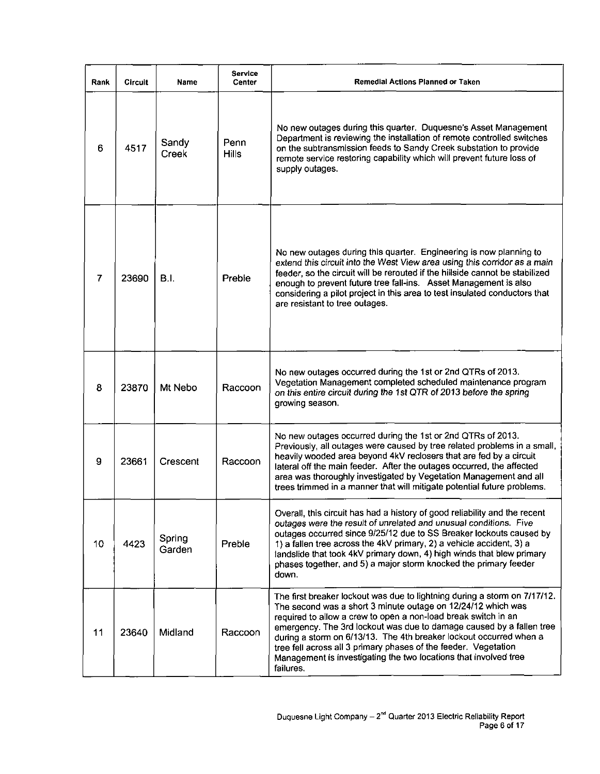| Rank | <b>Circuit</b> | Name             | <b>Service</b><br><b>Center</b> | Remedial Actions Planned or Taken                                                                                                                                                                                                                                                                                                                                                                                                                                                                             |
|------|----------------|------------------|---------------------------------|---------------------------------------------------------------------------------------------------------------------------------------------------------------------------------------------------------------------------------------------------------------------------------------------------------------------------------------------------------------------------------------------------------------------------------------------------------------------------------------------------------------|
| 6    | 4517           | Sandy<br>Creek   | Penn<br><b>Hills</b>            | No new outages during this quarter. Duquesne's Asset Management<br>Department is reviewing the installation of remote controlled switches<br>on the subtransmission feeds to Sandy Creek substation to provide<br>remote service restoring capability which will prevent future loss of<br>supply outages.                                                                                                                                                                                                    |
| 7    | 23690          | B.L              | Preble                          | No new outages during this quarter. Engineering is now planning to<br>extend this circuit into the West View area using this corridor as a main<br>feeder, so the circuit will be rerouted if the hillside cannot be stabilized<br>enough to prevent future tree fall-ins. Asset Management is also<br>considering a pilot project in this area to test insulated conductors that<br>are resistant to tree outages.                                                                                           |
| 8    | 23870          | Mt Nebo          | Raccoon                         | No new outages occurred during the 1st or 2nd QTRs of 2013.<br>Vegetation Management completed scheduled maintenance program<br>on this entire circuit during the 1st QTR of 2013 before the spring<br>growing season.                                                                                                                                                                                                                                                                                        |
| 9    | 23661          | Crescent         | Raccoon                         | No new outages occurred during the 1st or 2nd QTRs of 2013.<br>Previously, all outages were caused by tree related problems in a small,<br>heavily wooded area beyond 4kV reclosers that are fed by a circuit<br>lateral off the main feeder. After the outages occurred, the affected<br>area was thoroughly investigated by Vegetation Management and all<br>trees trimmed in a manner that will mitigate potential future problems.                                                                        |
| 10   | 4423           | Spring<br>Garden | Preble                          | Overall, this circuit has had a history of good reliability and the recent<br>outages were the result of unrelated and unusual conditions. Five<br>outages occurred since 9/25/12 due to SS Breaker lockouts caused by<br>1) a fallen tree across the 4kV primary, 2) a vehicle accident, 3) a<br>landslide that took 4kV primary down, 4) high winds that blew primary<br>phases together, and 5) a major storm knocked the primary feeder<br>down.                                                          |
| 11   | 23640          | Midland          | Raccoon                         | The first breaker lockout was due to lightning during a storm on 7/17/12.<br>The second was a short 3 minute outage on 12/24/12 which was<br>required to allow a crew to open a non-load break switch in an<br>emergency. The 3rd lockout was due to damage caused by a fallen tree<br>during a storm on 6/13/13. The 4th breaker lockout occurred when a<br>tree fell across all 3 primary phases of the feeder. Vegetation<br>Management is investigating the two locations that involved tree<br>failures. |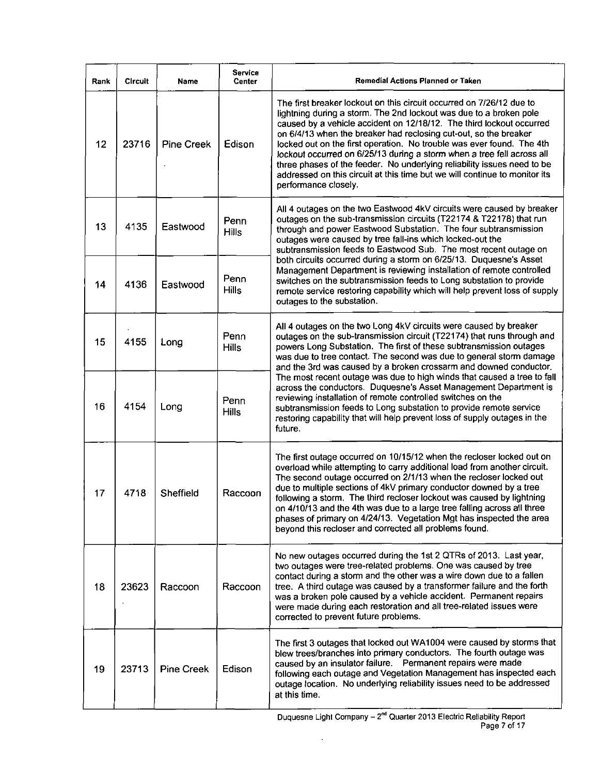| Rank | <b>Circuit</b> | Name              | <b>Service</b><br>Center | Remedial Actions Planned or Taken                                                                                                                                                                                                                                                                                                                                                                                                                                                                                                                                                                                          |  |  |  |
|------|----------------|-------------------|--------------------------|----------------------------------------------------------------------------------------------------------------------------------------------------------------------------------------------------------------------------------------------------------------------------------------------------------------------------------------------------------------------------------------------------------------------------------------------------------------------------------------------------------------------------------------------------------------------------------------------------------------------------|--|--|--|
| 12   | 23716          | <b>Pine Creek</b> | Edison                   | The first breaker lockout on this circuit occurred on 7/26/12 due to<br>lightning during a storm. The 2nd lockout was due to a broken pole<br>caused by a vehicle accident on 12/18/12. The third lockout occurred<br>on 6/4/13 when the breaker had reclosing cut-out, so the breaker<br>locked out on the first operation. No trouble was ever found. The 4th<br>lockout occurred on 6/25/13 during a storm when a tree fell across all<br>three phases of the feeder. No underlying reliability issues need to be<br>addressed on this circuit at this time but we will continue to monitor its<br>performance closely. |  |  |  |
| 13   | 4135           | Eastwood          | Penn<br><b>Hills</b>     | All 4 outages on the two Eastwood 4kV circuits were caused by breaker<br>outages on the sub-transmission circuits (T22174 & T22178) that run<br>through and power Eastwood Substation. The four subtransmission<br>outages were caused by tree fall-ins which locked-out the<br>subtransmission feeds to Eastwood Sub. The most recent outage on                                                                                                                                                                                                                                                                           |  |  |  |
| 14   | 4136           | Eastwood          | Penn<br><b>Hills</b>     | both circuits occurred during a storm on 6/25/13. Duquesne's Asset<br>Management Department is reviewing installation of remote controlled<br>switches on the subtransmission feeds to Long substation to provide<br>remote service restoring capability which will help prevent loss of supply<br>outages to the substation.                                                                                                                                                                                                                                                                                              |  |  |  |
| 15   | 4155           | Long              | Penn<br><b>Hills</b>     | All 4 outages on the two Long 4kV circuits were caused by breaker<br>outages on the sub-transmission circuit (T22174) that runs through and<br>powers Long Substation. The first of these subtransmission outages<br>was due to tree contact. The second was due to general storm damage<br>and the 3rd was caused by a broken crossarm and downed conductor.                                                                                                                                                                                                                                                              |  |  |  |
| 16   | 4154           | Long              | Penn<br><b>Hills</b>     | The most recent outage was due to high winds that caused a tree to fall<br>across the conductors. Duquesne's Asset Management Department is<br>reviewing installation of remote controlled switches on the<br>subtransmission feeds to Long substation to provide remote service<br>restoring capability that will help prevent loss of supply outages in the<br>future.                                                                                                                                                                                                                                                   |  |  |  |
| 17   | 4718           | Sheffield         | Raccoon                  | The first outage occurred on 10/15/12 when the recloser locked out on<br>overload while attempting to carry additional load from another circuit.<br>The second outage occurred on 2/1/13 when the recloser locked out<br>due to multiple sections of 4kV primary conductor downed by a tree<br>following a storm. The third recloser lockout was caused by lightning<br>on 4/10/13 and the 4th was due to a large tree falling across all three<br>phases of primary on 4/24/13. Vegetation Mgt has inspected the area<br>beyond this recloser and corrected all problems found.                                          |  |  |  |
| 18   | 23623          | Raccoon           | Raccoon                  | No new outages occurred during the 1st 2 QTRs of 2013. Last year,<br>two outages were tree-related problems. One was caused by tree<br>contact during a storm and the other was a wire down due to a fallen<br>tree. A third outage was caused by a transformer failure and the forth<br>was a broken pole caused by a vehicle accident. Permanent repairs<br>were made during each restoration and all tree-related issues were<br>corrected to prevent future problems.                                                                                                                                                  |  |  |  |
| 19   | 23713          | <b>Pine Creek</b> | Edison                   | The first 3 outages that locked out WA1004 were caused by storms that<br>blew trees/branches into primary conductors. The fourth outage was<br>caused by an insulator failure. Permanent repairs were made<br>following each outage and Vegetation Management has inspected each<br>outage location. No underlying reliability issues need to be addressed<br>at this time.                                                                                                                                                                                                                                                |  |  |  |

 $\bar{\beta}$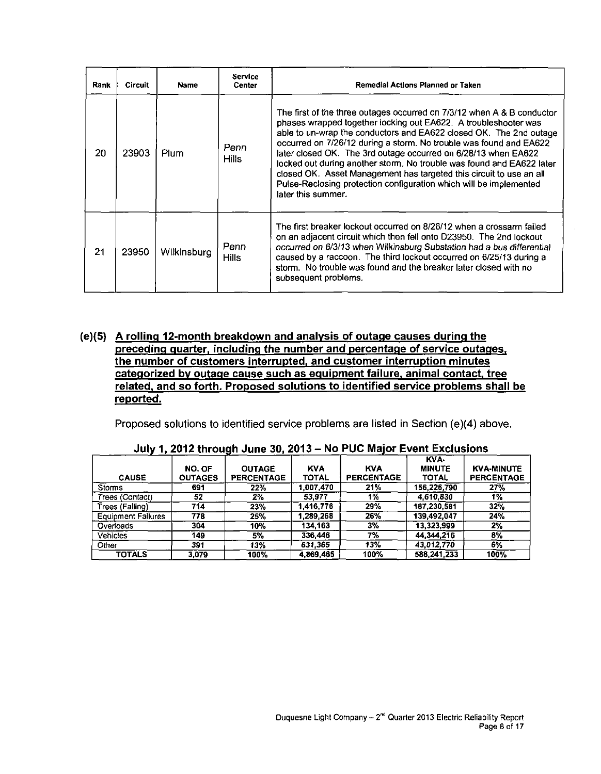| Rank | <b>Circuit</b> | <b>Name</b> | Service<br>Remedial Actions Planned or Taken<br>Center |                                                                                                                                                                                                                                                                                                                                                                                                                                                                                                                                                                                                     |  |  |  |  |
|------|----------------|-------------|--------------------------------------------------------|-----------------------------------------------------------------------------------------------------------------------------------------------------------------------------------------------------------------------------------------------------------------------------------------------------------------------------------------------------------------------------------------------------------------------------------------------------------------------------------------------------------------------------------------------------------------------------------------------------|--|--|--|--|
| 20   | 23903          | Plum        | Penn<br><b>Hills</b>                                   | The first of the three outages occurred on 7/3/12 when A & B conductor<br>phases wrapped together locking out EA622. A troubleshooter was<br>able to un-wrap the conductors and EA622 closed OK. The 2nd outage<br>occurred on 7/26/12 during a storm. No trouble was found and EA622<br>later closed OK. The 3rd outage occurred on 6/28/13 when EA622<br>locked out during another storm. No trouble was found and EA622 later<br>closed OK. Asset Management has targeted this circuit to use an all<br>Pulse-Reclosing protection configuration which will be implemented<br>later this summer. |  |  |  |  |
| 21   | 23950          | Wilkinsburg | Penn<br><b>Hills</b>                                   | The first breaker lockout occurred on 8/26/12 when a crossarm failed<br>on an adjacent circuit which then fell onto D23950. The 2nd lockout<br>occurred on 6/3/13 when Wilkinsburg Substation had a bus differential<br>caused by a raccoon. The third lockout occurred on 6/25/13 during a<br>storm. No trouble was found and the breaker later closed with no<br>subsequent problems.                                                                                                                                                                                                             |  |  |  |  |

#### **(e)(5) A rolling 12-month breakdown and analysis of outage causes during the preceding quarter, including the number and percentage of service outages, the number of customers interrupted, and customer interruption minutes categorized by outage cause such as equipment failure, animal contact, tree related, and so forth. Proposed solutions to identified service problems shall be reported.**

Proposed solutions to identified service problems are listed in Section (e)(4) above.

|                           |                |                   |              |                   | KVA-          |                   |
|---------------------------|----------------|-------------------|--------------|-------------------|---------------|-------------------|
|                           | NO. OF         | <b>OUTAGE</b>     | <b>KVA</b>   | <b>KVA</b>        | <b>MINUTE</b> | <b>KVA-MINUTE</b> |
| <b>CAUSE</b>              | <b>OUTAGES</b> | <b>PERCENTAGE</b> | <b>TOTAL</b> | <b>PERCENTAGE</b> | <b>TOTAL</b>  | <b>PERCENTAGE</b> |
| <b>Storms</b>             | 691            | 22%               | 1.007.470    | 21%               | 156,226,790   | 27%               |
| Trees (Contact)           | 52             | 2%                | 53.977       | 1%                | 4.610.830     | 1%                |
| Trees (Falling)           | 714            | 23%               | 1.416,776    | 29%               | 187,230,581   | 32%               |
| <b>Equipment Failures</b> | 778            | 25%               | 1.289.268    | 26%               | 139,492,047   | 24%               |
| Overloads                 | 304            | 10%               | 134,163      | 3%                | 13,323,999    | $2\sqrt{2}$       |
| Vehicles                  | 149            | 5%                | 336,446      | 7%                | 44,344,216    | $8\%$             |
| Other                     | 391            | 13%               | 631.365      | 13%               | 43,012,770    | $6\%$             |
| <b>TOTALS</b>             | 3.079          | 100%              | 4.869,465    | 100%              | 588,241,233   | 100%              |

| July 1, 2012 through June 30, 2013 - No PUC Major Event Exclusions |  |  |
|--------------------------------------------------------------------|--|--|
|--------------------------------------------------------------------|--|--|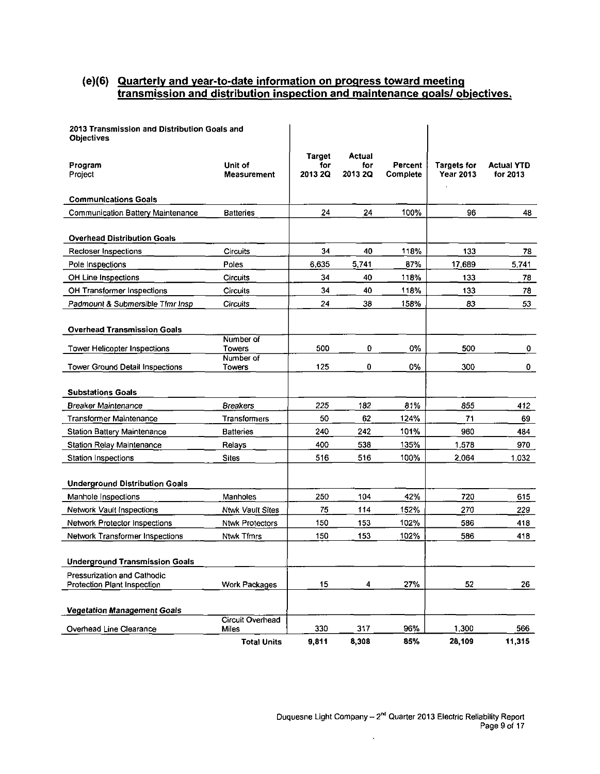#### **(e)(6) Quarterly and year-to-date information on progress toward meeting transmission and distribution inspection and maintenance goals/ objectives.**

| 2013 Transmission and Distribution Goals and<br><b>Objectives</b> |                         |                                 |                          |                     |                                        |                               |
|-------------------------------------------------------------------|-------------------------|---------------------------------|--------------------------|---------------------|----------------------------------------|-------------------------------|
| Program<br>Project                                                | Unit of<br>Measurement  | <b>Target</b><br>for<br>2013 2Q | Actual<br>for<br>2013 20 | Percent<br>Complete | <b>Targets for</b><br><b>Year 2013</b> | <b>Actual YTD</b><br>for 2013 |
| <b>Communications Goals</b>                                       |                         |                                 |                          |                     |                                        |                               |
| Communication Battery Maintenance                                 | <b>Batteries</b>        | 24                              | 24                       | 100%                | 96                                     | 48                            |
| <b>Overhead Distribution Goals</b>                                |                         |                                 |                          |                     |                                        |                               |
| Recloser Inspections                                              | <b>Circuits</b>         | 34                              | 40                       | 118%                | 133                                    | 78.                           |
| Pole Inspections                                                  | Poles                   | 6,635                           | 5,741                    | 87%                 | 17,689                                 | 5,741                         |
| OH Line Inspections                                               | Circuits                | 34                              | 40                       | 118%                | 133                                    | 78                            |
| OH Transformer Inspections                                        | Circuits                | 34                              | 40                       | 118%                | 133                                    | 78                            |
| Padmount & Submersible Tfmr Insp                                  | <b>Circuits</b>         | 24                              | 38                       | 158%                | 83                                     | 53                            |
| <b>Overhead Transmission Goals</b>                                | Number of               |                                 |                          |                     |                                        |                               |
| Tower Helicopter Inspections                                      | Towers                  | 500                             | 0                        | 0%                  | 500                                    | 0                             |
| <b>Tower Ground Detail Inspections</b>                            | Number of<br>Towers     | 125                             | 0                        | 0%                  | 300                                    | 0.                            |
| <b>Substations Goals</b>                                          |                         |                                 |                          |                     |                                        |                               |
| Breaker Maintenance                                               | <b>Breakers</b>         | 225                             | 182                      | 81%                 | 855                                    | 412                           |
| Transformer Maintenance                                           | Transformers            | 50                              | 62                       | 124%                | 71                                     | 69                            |
| Station Battery Maintenance                                       | <b>Batteries</b>        | 240                             | 242                      | 101%                | 960                                    | 484                           |
| <b>Station Relay Maintenance</b>                                  | Relays                  | 400                             | 538                      | 135%                | 1,578                                  | 970                           |
| Station Inspections                                               | <b>Sites</b>            | 516                             | 516                      | 100%                | 2,064                                  | 1,032                         |
| <b>Underground Distribution Goals</b>                             |                         |                                 |                          |                     |                                        |                               |
| Manhole Inspections                                               | Manholes                | 250                             | 104                      | 42%                 | 720                                    | 615                           |
| Network Vault Inspections                                         | <b>Ntwk Vault Sites</b> | 75                              | 114                      | 152%                | 270                                    | 229                           |
| <b>Network Protector Inspections</b>                              | <b>Ntwk Protectors</b>  | 150                             | 153                      | 102%                | 586                                    | 418                           |
| Network Transformer Inspections                                   | Ntwk Tfmrs              | 150                             | 153                      | 102%                | 586                                    | 418                           |
| <b>Underground Transmission Goals</b>                             |                         |                                 |                          |                     |                                        |                               |
| Pressurization and Cathodic<br>Protection Plant Inspection        | Work Packages           | 15                              | 4                        | 27%                 | 52                                     | 26                            |
| Vegetation Management Goals                                       | Circuit Overhead        |                                 |                          |                     |                                        |                               |
| Overhead Line Clearance                                           | Miles                   | 330                             | 317                      | 96%                 | 1,300                                  | 566                           |
|                                                                   | <b>Total Units</b>      | 9,811                           | 8,308                    | 85%                 | 28,109                                 | 11,315                        |

 $\bar{z}$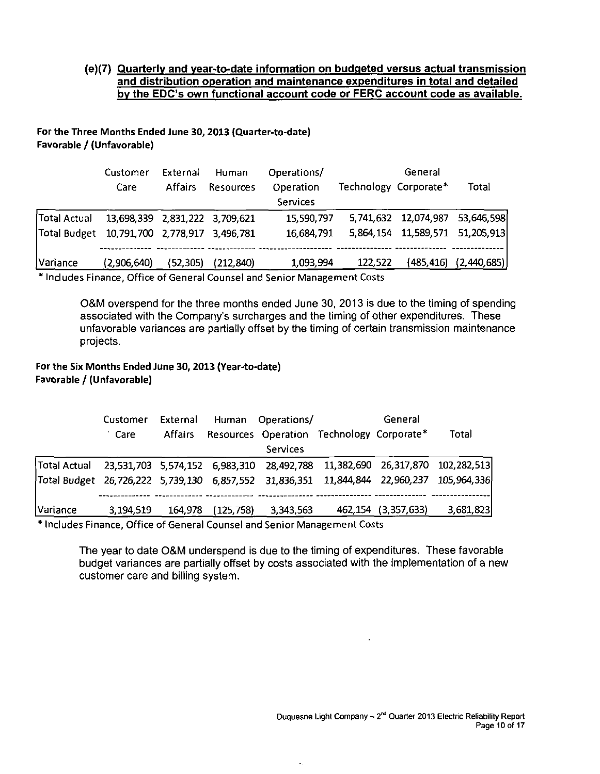#### **(e)(7) Quarterly and year-to-date information on budgeted versus actual transmission and distribution operation and maintenance expenditures in total and detailed**  by the EDC's own functional account code or FERC account code as available.

#### For the Three Months Ended June 30,2013 (Quarter-to-date) Favorable / (Unfavorable)

|                                             | Customer<br>Care               | External<br><b>Affairs</b> | Human<br><b>Resources</b> | Operations/<br>Operation<br>Services | Technology Corporate* | General                         | Total                        |
|---------------------------------------------|--------------------------------|----------------------------|---------------------------|--------------------------------------|-----------------------|---------------------------------|------------------------------|
| <b>Total Actual</b>                         | 13,698,339 2,831,222 3,709,621 |                            |                           | 15,590,797                           |                       | 5,741,632 12,074,987 53,646,598 |                              |
| Total Budget 10,791,700 2,778,917 3,496,781 |                                |                            |                           | 16,684,791                           |                       | 5,864,154 11,589,571 51,205,913 |                              |
| Variance                                    | (2,906,640)                    | (52, 305)                  | (212, 840)                | 1,093,994                            | 122,522               |                                 | $(485, 416)$ $(2, 440, 685)$ |

\* Includes Finance, Office of General Counsel and Senior Management Costs

O&M overspend for the three months ended June 30, 2013 is due to the timing of spending associated with the Company's surcharges and the timing of other expenditures. These unfavorable variances are partially offset by the timing of certain transmission maintenance projects.

#### For the Six Months Ended June 30,2013 (Year-to-date) Favorable / (Unfavorable)

|                                                                                           | Customer  | External       |           | Human Operations/                         | General                |           |
|-------------------------------------------------------------------------------------------|-----------|----------------|-----------|-------------------------------------------|------------------------|-----------|
|                                                                                           | Care      | <b>Affairs</b> |           | Resources Operation Technology Corporate* |                        | Total     |
|                                                                                           |           |                |           | Services                                  |                        |           |
| Total Actual  23,531,703 5,574,152 6,983,310 28,492,788 11,382,690 26,317,870 102,282,513 |           |                |           |                                           |                        |           |
| Total Budget 26,726,222 5,739,130 6,857,552 31,836,351 11,844,844 22,960,237 105,964,336  |           |                |           |                                           |                        |           |
|                                                                                           |           |                |           |                                           |                        |           |
| Variance                                                                                  | 3.194.519 | 164,978        | (125.758) | 3,343,563                                 | 462, 154 (3, 357, 633) | 3,681,823 |

Includes Finance, Office of General Counsel and Senior Management Costs

The year to date O&M underspend is due to the timing of expenditures. These favorable budget variances are partially offset by costs associated with the implementation of a new customer care and billing system.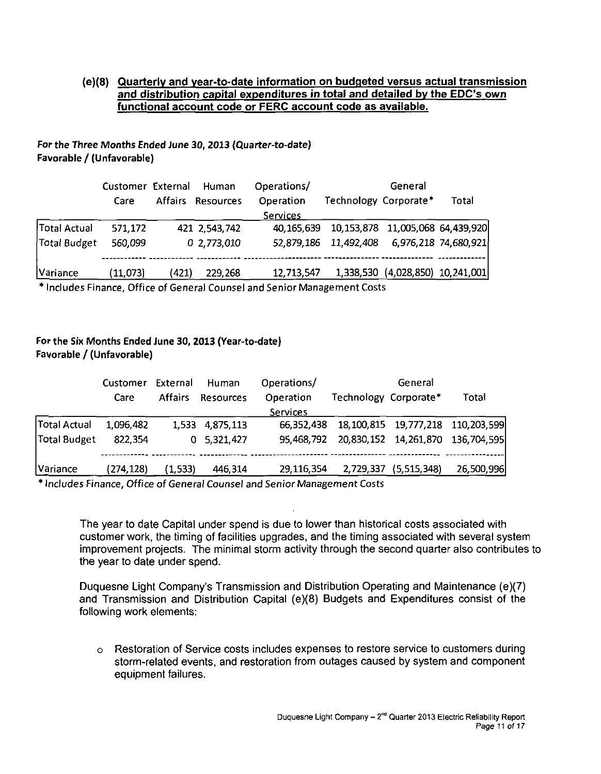#### **(e)(8) Quarterly and year-to-date information on budgeted versus actual transmission and distribution capital expenditures in total and detailed by the EDC s own functional account code or FERC account code as available.**

#### For the Three Months Ended June 30, 2013 (Quarter-to-date) Favorable / (Unfavorable)

|              | Customer External<br>Care |       | Human<br>Affairs Resources | Operations/<br>Operation | Technology Corporate* | General                          | Total                |
|--------------|---------------------------|-------|----------------------------|--------------------------|-----------------------|----------------------------------|----------------------|
|              |                           |       |                            | Services                 |                       |                                  |                      |
| Total Actual | 571,172                   |       | 421 2,543,742              | 40,165,639               |                       | 10,153,878 11,005,068 64,439,920 |                      |
| Total Budget | 560,099                   |       | 0 2,773,010                | 52,879,186               | 11,492,408            |                                  | 6,976,218 74,680,921 |
| Variance     | (11,073)                  | (421) | 229,268                    | 12,713,547               |                       | 1,338,530 (4,028,850) 10,241,001 |                      |

\* Includes Finance, Office of General Counsel and Senior Management Costs

#### For the Six Months Ended June 30, 2013 (Year-to-date) Favorable / (Unfavorable)

|              | Customer   | External       | Human           | Operations/ |                       | General               |                                           |
|--------------|------------|----------------|-----------------|-------------|-----------------------|-----------------------|-------------------------------------------|
|              | Care       | <b>Affairs</b> | Resources       | Operation   | Technology Corporate* |                       | Total                                     |
|              |            |                |                 | Services    |                       |                       |                                           |
| Total Actual | 1,096,482  |                | 1,533 4,875,113 | 66,352,438  |                       |                       | 18, 100, 815  19, 777, 218  110, 203, 599 |
| Total Budget | 822,354    |                | 0, 5, 321, 427  | 95,468,792  |                       |                       | 20,830,152 14,261,870 136,704,595         |
| Variance     | (274, 128) | (1,533)        | 446,314         | 29,116,354  |                       | 2,729,337 (5,515,348) | 26,500,996                                |

\* Includes Finance, Office of General Counsel and Senior Management Costs

The year to date Capital under spend is due to lower than historical costs associated with customer work, the timing of facilities upgrades, and the timing associated with several system improvement projects. The minimal storm activity through the second quarter also contributes to the year to date under spend.

Duquesne Light Company's Transmission and Distribution Operating and Maintenance (e)(7) and Transmission and Distribution Capital (e)(8) Budgets and Expenditures consist of the following work elements:

o Restoration of Service costs includes expenses to restore service to customers during storm-related events, and restoration from outages caused by system and component equipment failures.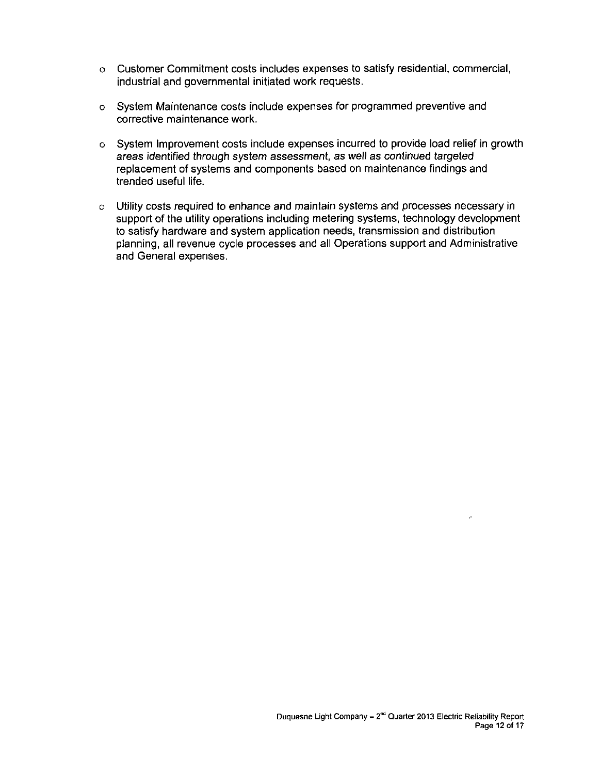- o Customer Commitment costs includes expenses to satisfy residential, commercial, industrial and governmental initiated work requests.
- o System Maintenance costs include expenses for programmed preventive and corrective maintenance work.
- o System Improvement costs include expenses incurred to provide load relief in growth areas identified through system assessment, as well as continued targeted replacement of systems and components based on maintenance findings and trended useful life.
- o Utility costs required to enhance and maintain systems and processes necessary in support of the utility operations including metering systems, technology development to satisfy hardware and system application needs, transmission and distribution planning, ail revenue cycle processes and all Operations support and Administrative and General expenses.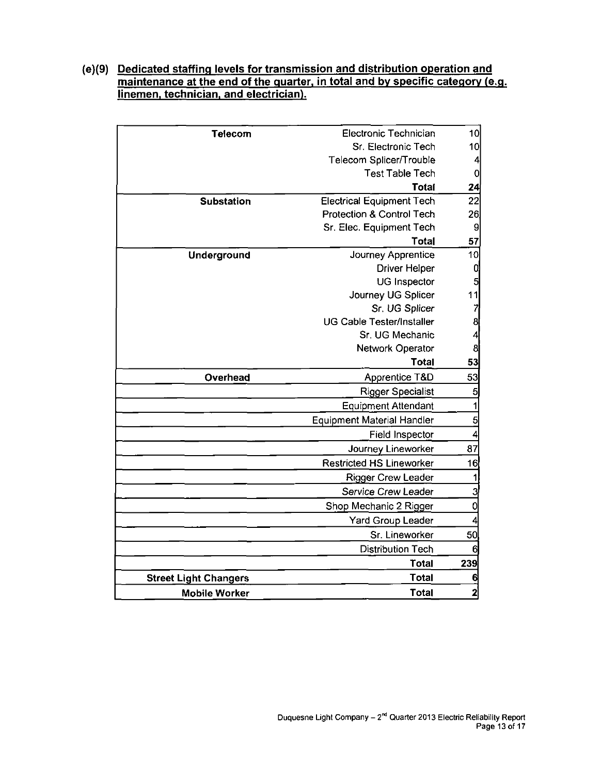#### **(e)(9) Dedicated staffing levels for transmission and distribution operation and maintenance at the end of the quarter, in total and by specific category (e.g. linemen, technician, and electrician).**

| <b>Telecom</b>               | Electronic Technician             | 10 <sup>1</sup>         |
|------------------------------|-----------------------------------|-------------------------|
|                              | Sr. Electronic Tech               | 10                      |
|                              | Telecom Splicer/Trouble           | $\vert$                 |
|                              | <b>Test Table Tech</b>            | $\overline{0}$          |
|                              | Total                             | 24                      |
| <b>Substation</b>            | <b>Electrical Equipment Tech</b>  | 22                      |
|                              | Protection & Control Tech         | 26                      |
|                              | Sr. Elec. Equipment Tech          | 9                       |
|                              | Total                             | 57                      |
| Underground                  | Journey Apprentice                | 10                      |
|                              | <b>Driver Helper</b>              | $\mathbf{0}$            |
|                              | <b>UG</b> Inspector               | $\overline{\mathbf{5}}$ |
|                              | Journey UG Splicer                | 11                      |
|                              | Sr. UG Splicer                    | $\overline{7}$          |
|                              | <b>UG Cable Tester/Installer</b>  | $\frac{8}{4}$           |
|                              | Sr. UG Mechanic                   |                         |
|                              | Network Operator                  | $\mathbf{8}$            |
|                              | Total                             | 53                      |
| Overhead                     | Apprentice T&D                    | 53                      |
|                              | <b>Rigger Specialist</b>          | 5                       |
|                              | <b>Equipment Attendant</b>        | 1                       |
|                              | <b>Equipment Material Handler</b> | 5                       |
|                              | <b>Field Inspector</b>            | 4                       |
|                              | Journey Lineworker                | 87                      |
|                              | <b>Restricted HS Lineworker</b>   | 16                      |
|                              | <b>Rigger Crew Leader</b>         | 1                       |
|                              | Service Crew Leader               | 3                       |
|                              | Shop Mechanic 2 Rigger            | 0                       |
|                              | Yard Group Leader                 | 4                       |
|                              | Sr. Lineworker                    | 50                      |
|                              | <b>Distribution Tech</b>          | 6                       |
|                              | <b>Total</b>                      | 239                     |
| <b>Street Light Changers</b> | <b>Total</b>                      | 6                       |
| <b>Mobile Worker</b>         | Total                             | $\overline{2}$          |
|                              |                                   |                         |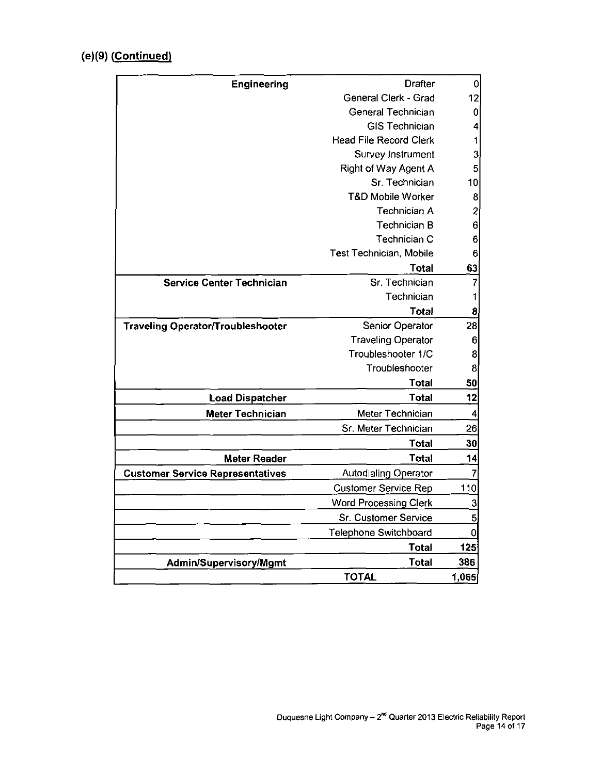## **(e)(9) (Continued)**

| Engineering                              | <b>Drafter</b>                |                |
|------------------------------------------|-------------------------------|----------------|
|                                          | General Clerk - Grad          | 12             |
|                                          | General Technician            | $\mathbf 0$    |
|                                          | <b>GIS Technician</b>         | 4              |
|                                          | <b>Head File Record Clerk</b> | 1              |
|                                          | Survey Instrument             | 3              |
|                                          | <b>Right of Way Agent A</b>   | 5              |
|                                          | Sr. Technician                | 10             |
|                                          | <b>T&amp;D Mobile Worker</b>  | 8              |
|                                          | Technician A                  | $\overline{c}$ |
|                                          | Technician B                  | 6              |
|                                          | Technician C                  | 6              |
|                                          | Test Technician, Mobile       | 6              |
|                                          | <b>Total</b>                  | 63             |
| <b>Service Center Technician</b>         | Sr. Technician                | 7              |
|                                          | Technician                    | 1              |
|                                          | Total                         | 8              |
| <b>Traveling Operator/Troubleshooter</b> | Senior Operator               | 28             |
|                                          | <b>Traveling Operator</b>     | 6              |
|                                          | Troubleshooter 1/C            | 8              |
|                                          | Troubleshooter                | 8              |
|                                          | <b>Total</b>                  | 50             |
| <b>Load Dispatcher</b>                   | <b>Total</b>                  | 12             |
| <b>Meter Technician</b>                  | Meter Technician              | 4              |
|                                          | Sr. Meter Technician          | 26             |
|                                          | <b>Total</b>                  | 30             |
| <b>Meter Reader</b>                      | <b>Total</b>                  | 14             |
| <b>Customer Service Representatives</b>  | <b>Autodialing Operator</b>   | 7              |
|                                          | <b>Customer Service Rep</b>   | 110            |
|                                          | <b>Word Processing Clerk</b>  | 3              |
|                                          | Sr. Customer Service          | 5              |
|                                          | Telephone Switchboard         | $\overline{0}$ |
|                                          | Total                         | 125            |
| <b>Admin/Supervisory/Mgmt</b>            | <b>Total</b>                  | 386            |
|                                          | <b>TOTAL</b>                  | 1,065          |
|                                          |                               |                |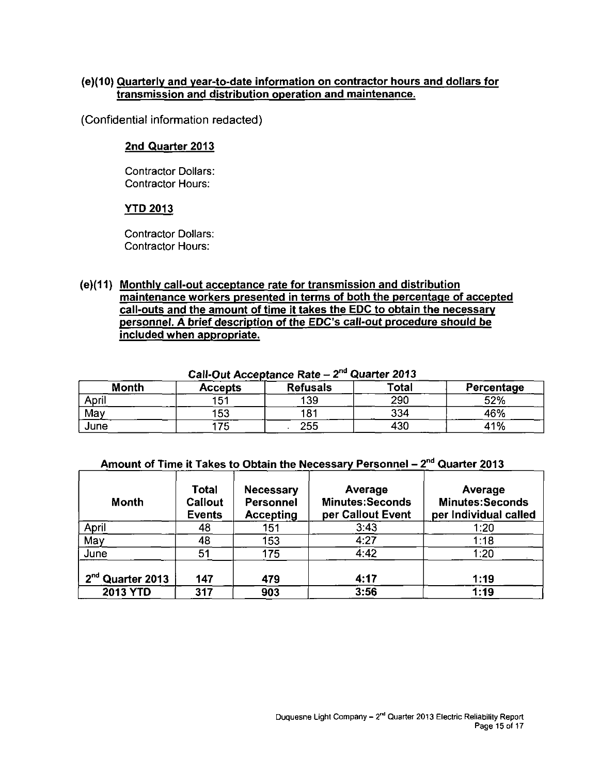#### **(e)(10) Quarterly and year-to-date information on contractor hours and dollars for transmission and distribution operation and maintenance.**

**(Confidential information redacted)** 

#### **2nd Quarter 2013**

Contractor Dollars: Contractor Hours:

#### **YTD 2013**

Contractor Dollars: Contractor Hours:

**(e)(11) Monthly call-out acceptance rate for transmission and distribution maintenance workers presented in terms of both the percentage of accepted call-outs and the amount of time it takes the EDC to obtain the necessary personnel. A brief description of the EDC's call-out procedure should be included when appropriate.** 

| <b>Udil-Out Acceptance Rate</b><br>-<br>************** |                 |                 |       |            |  |  |  |  |  |
|--------------------------------------------------------|-----------------|-----------------|-------|------------|--|--|--|--|--|
| <b>Month</b>                                           | <b>Accepts</b>  | <b>Refusals</b> | Total | Percentage |  |  |  |  |  |
| Apri.                                                  | 15 <sup>′</sup> | 139             | 290   | 52%        |  |  |  |  |  |
| May                                                    | 153             | 181             | 334   | 46%        |  |  |  |  |  |
| June                                                   | フロ              | 255             | 430   | 41%        |  |  |  |  |  |

#### **Call-Out Acceptance Rate - 2 <sup>n</sup> <sup>d</sup> Quarter 2013**

## **Amount of Time it Takes to Obtain the Necessary Personnel - 2 <sup>n</sup> <sup>d</sup> Quarter 2013**

| Month                                    | Total<br>Callout<br><b>Events</b> | <b>Necessary</b><br><b>Personnel</b><br><b>Accepting</b> | Average<br><b>Minutes:Seconds</b><br>per Callout Event | Average<br><b>Minutes:Seconds</b><br>per Individual called |
|------------------------------------------|-----------------------------------|----------------------------------------------------------|--------------------------------------------------------|------------------------------------------------------------|
| April                                    | 48                                | 151                                                      | 3:43                                                   | 1:20                                                       |
| May                                      | 48                                | 153                                                      | 4:27                                                   | 1:18                                                       |
| June                                     | 51                                | 175                                                      | 4:42                                                   | 1:20                                                       |
| 2 <sup>nd</sup> Quarter 2013<br>2013 YTD | 147<br>317                        | 479<br>903                                               | 4:17<br>3:56                                           | 1:19<br>1:19                                               |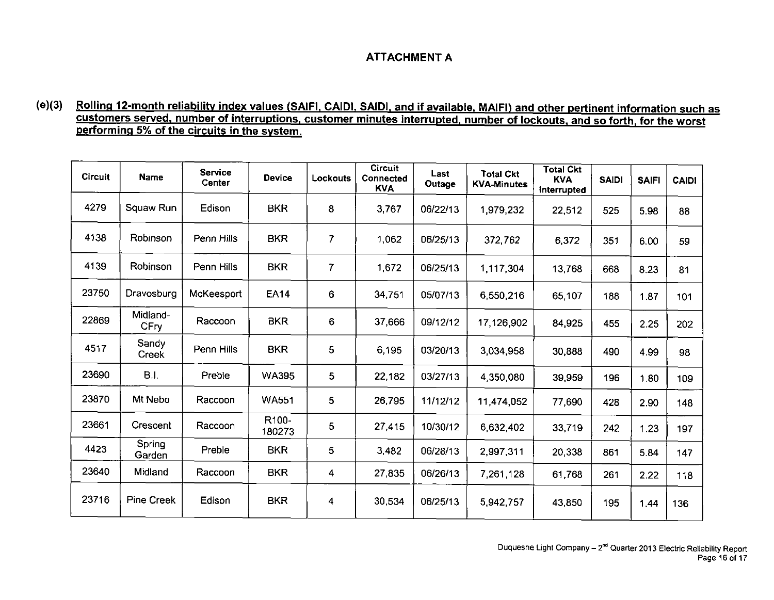## **ATTACHMENT A**

#### **( e )(3) Rolling 12-month reliability index values (SAIFI. CAIDI. SAIDI. and if available. MAIFI) and other pertinent information such as customers served, number of interruptions, customer minutes interrupted, number of lockouts, and so forth, for the worst performing 5% of the circuits in the system.**

| <b>Circuit</b> | <b>Name</b>           | <b>Service</b><br>Center | <b>Device</b>   | Lockouts | <b>Circuit</b><br>Connected<br><b>KVA</b> | Last<br>Outage | <b>Total Ckt</b><br><b>KVA-Minutes</b> | <b>Total Ckt</b><br><b>KVA</b><br>interrupted | <b>SAIDI</b> | <b>SAIFI</b> | <b>CAIDI</b> |
|----------------|-----------------------|--------------------------|-----------------|----------|-------------------------------------------|----------------|----------------------------------------|-----------------------------------------------|--------------|--------------|--------------|
| 4279           | Squaw Run             | Edison                   | <b>BKR</b>      | 8        | 3.767                                     | 06/22/13       | 1,979,232                              | 22,512                                        | 525          | 5.98         | 88           |
| 4138           | Robinson              | Penn Hills               | <b>BKR</b>      | 7        | 1.062                                     | 06/25/13       | 372,762                                | 6,372                                         | 351          | 6.00         | 59           |
| 4139           | <b>Robinson</b>       | Penn Hills               | <b>BKR</b>      | 7        | 1,672                                     | 06/25/13       | 1,117,304                              | 13,768                                        | 668          | 8.23         | 81           |
| 23750          | Dravosburg            | McKeesport               | <b>EA14</b>     | 6        | 34,751                                    | 05/07/13       | 6,550,216                              | 65,107                                        | 188          | 1.87         | 101          |
| 22869          | Midland-<br>CFry      | Raccoon                  | <b>BKR</b>      | 6        | 37,666                                    | 09/12/12       | 17,126,902                             | 84,925                                        | 455          | 2.25         | 202          |
| 4517           | Sandy<br><b>Creek</b> | Penn Hills               | <b>BKR</b>      | 5        | 6,195                                     | 03/20/13       | 3,034,958                              | 30,888                                        | 490          | 4.99         | 98           |
| 23690          | <b>B.I.</b>           | Preble                   | <b>WA395</b>    | 5        | 22,182                                    | 03/27/13       | 4,350,080                              | 39,959                                        | 196          | 1.80         | 109          |
| 23870          | Mt Nebo               | Raccoon                  | <b>WA551</b>    | 5        | 26,795                                    | 11/12/12       | 11,474,052                             | 77,690                                        | 428          | 2.90         | 148          |
| 23661          | Crescent              | Raccoon                  | R100-<br>180273 | 5        | 27,415                                    | 10/30/12       | 6,632,402                              | 33,719                                        | 242          | 1.23         | 197          |
| 4423           | Spring<br>Garden      | Preble                   | <b>BKR</b>      | 5        | 3,482                                     | 06/28/13       | 2,997,311                              | 20,338                                        | 861          | 5.84         | 147          |
| 23640          | Midland               | Raccoon                  | <b>BKR</b>      | 4        | 27,835                                    | 06/26/13       | 7,261,128                              | 61,768                                        | 261          | 2.22         | 118          |
| 23716          | Pine Creek            | Edison                   | <b>BKR</b>      | 4        | 30,534                                    | 06/25/13       | 5,942,757                              | 43,850                                        | 195          | 1.44         | 136          |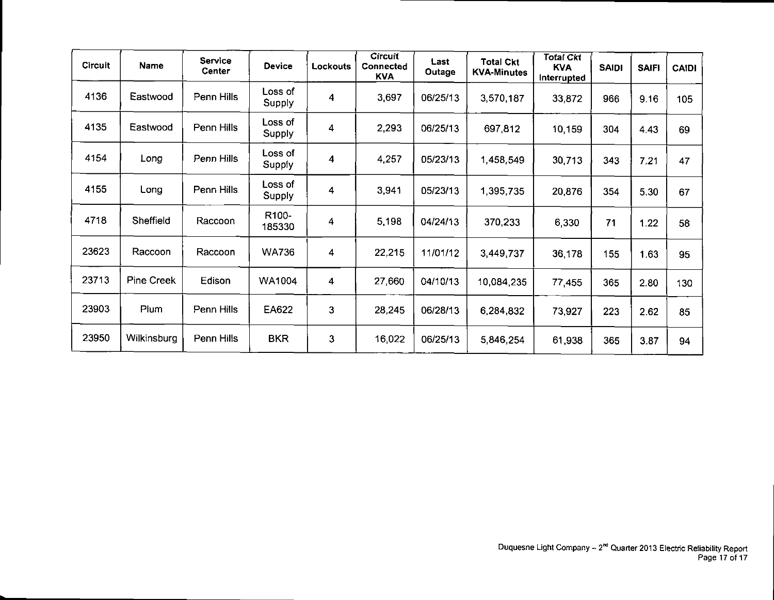| <b>Circuit</b> | Name        | Service<br><b>Center</b> | <b>Device</b>     | <b>Lockouts</b> | <b>Circuit</b><br>Connected<br><b>KVA</b> | Last<br>Outage | <b>Total Ckt</b><br><b>KVA-Minutes</b> | <b>Total Ckt</b><br><b>KVA</b><br>Interrupted | <b>SAIDI</b> | <b>SAIFI</b> | <b>CAIDI</b> |
|----------------|-------------|--------------------------|-------------------|-----------------|-------------------------------------------|----------------|----------------------------------------|-----------------------------------------------|--------------|--------------|--------------|
| 4136           | Eastwood    | Penn Hills               | Loss of<br>Supply | 4               | 3,697                                     | 06/25/13       | 3,570,187                              | 33,872                                        | 966          | 9.16         | 105          |
| 4135           | Eastwood    | Penn Hills               | Loss of<br>Supply | 4               | 2,293                                     | 06/25/13       | 697,812                                | 10,159                                        | 304          | 4.43         | 69           |
| 4154           | Long        | Penn Hills               | Loss of<br>Supply | 4               | 4.257                                     | 05/23/13       | 1,458,549                              | 30,713                                        | 343          | 7.21         | 47           |
| 4155           | Long        | Penn Hills               | Loss of<br>Supply | 4               | 3,941                                     | 05/23/13       | 1,395,735                              | 20,876                                        | 354          | 5.30         | 67           |
| 4718           | Sheffield   | Raccoon                  | R100-<br>185330   | 4               | 5,198                                     | 04/24/13       | 370,233                                | 6 3 3 0                                       | 71           | 1.22         | 58           |
| 23623          | Raccoon     | Raccoon                  | <b>WA736</b>      | 4               | 22,215                                    | 11/01/12       | 3,449,737                              | 36,178                                        | 155          | 1.63         | 95           |
| 23713          | Pine Creek  | Edison                   | WA1004            | 4               | 27,660                                    | 04/10/13       | 10,084,235                             | 77,455                                        | 365          | 2.80         | 130          |
| 23903          | Plum        | Penn Hills               | EA622             | 3               | 28,245                                    | 06/28/13       | 6,284,832                              | 73,927                                        | 223          | 2.62         | 85           |
| 23950          | Wilkinsburg | Penn Hills               | <b>BKR</b>        | 3               | 16,022                                    | 06/25/13       | 5,846,254                              | 61,938                                        | 365          | 3.87         | 94           |